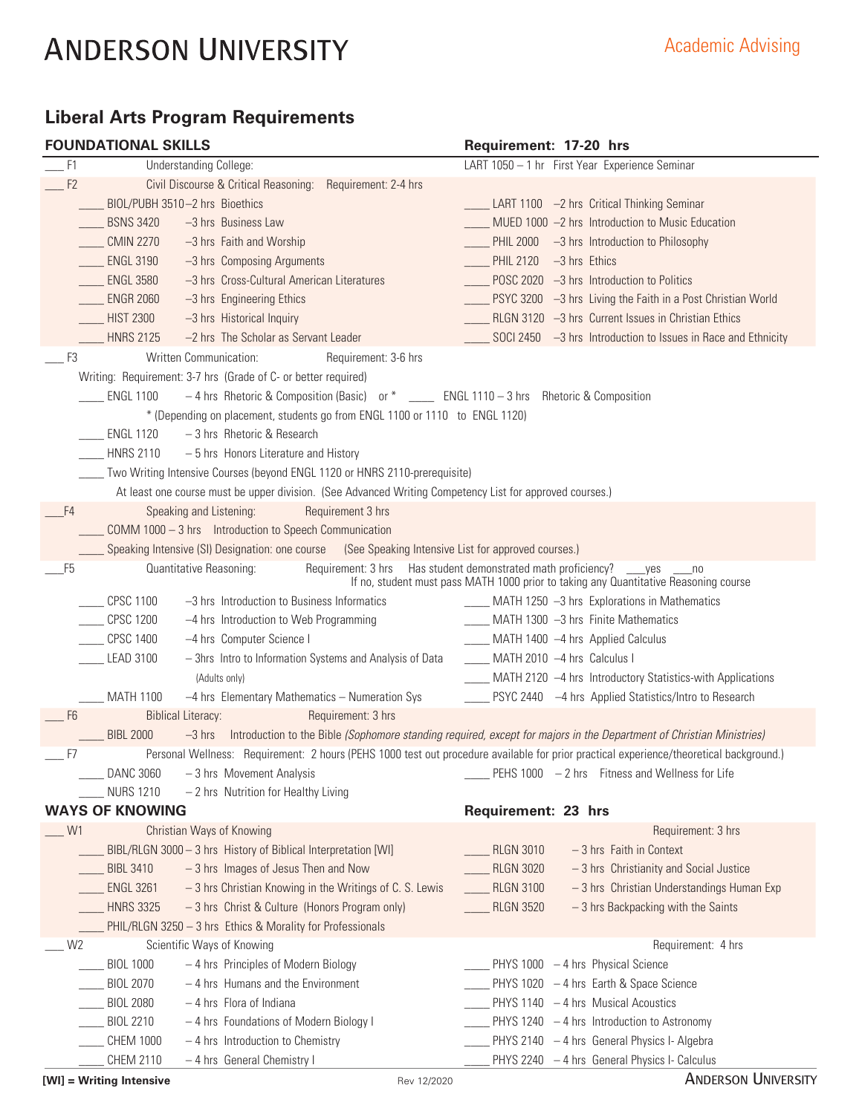# **Liberal Arts Program Requirements**

|  |  | <b>FOUNDATIONAL SKILLS</b> |  |
|--|--|----------------------------|--|
|  |  |                            |  |

|                | <b>FOUNDATIONAL SKILLS</b> |                                                                                                          | Requirement: 17-20 hrs                                                                                                                                                           |
|----------------|----------------------------|----------------------------------------------------------------------------------------------------------|----------------------------------------------------------------------------------------------------------------------------------------------------------------------------------|
| F1             |                            | <b>Understanding College:</b>                                                                            | LART 1050 - 1 hr First Year Experience Seminar                                                                                                                                   |
| F2             |                            | Civil Discourse & Critical Reasoning: Requirement: 2-4 hrs                                               |                                                                                                                                                                                  |
|                |                            | BIOL/PUBH 3510-2 hrs Bioethics                                                                           | LART 1100 -2 hrs Critical Thinking Seminar                                                                                                                                       |
|                | <b>BSNS 3420</b>           | -3 hrs Business Law                                                                                      | MUED 1000 -2 hrs Introduction to Music Education                                                                                                                                 |
|                | <b>CMIN 2270</b>           | -3 hrs Faith and Worship                                                                                 | PHIL 2000 -3 hrs Introduction to Philosophy                                                                                                                                      |
|                | <b>ENGL 3190</b>           | -3 hrs Composing Arguments                                                                               | PHIL 2120 -3 hrs Ethics                                                                                                                                                          |
|                | <b>ENGL 3580</b>           | -3 hrs Cross-Cultural American Literatures                                                               | $\sim$ POSC 2020 $-3$ hrs Introduction to Politics                                                                                                                               |
|                | <b>ENGR 2060</b>           | -3 hrs Engineering Ethics                                                                                | __ PSYC 3200 -3 hrs Living the Faith in a Post Christian World                                                                                                                   |
|                | <b>HIST 2300</b>           | -3 hrs Historical Inquiry                                                                                | RLGN 3120 -3 hrs Current Issues in Christian Ethics                                                                                                                              |
|                | <b>HNRS 2125</b>           | -2 hrs The Scholar as Servant Leader                                                                     | SOCI 2450 $-3$ hrs Introduction to Issues in Race and Ethnicity                                                                                                                  |
| F3             |                            | Written Communication:<br>Requirement: 3-6 hrs                                                           |                                                                                                                                                                                  |
|                |                            | Writing: Requirement: 3-7 hrs (Grade of C- or better required)                                           |                                                                                                                                                                                  |
|                | <b>ENGL 1100</b>           | -4 hrs Rhetoric & Composition (Basic) or * ____ ENGL 1110 - 3 hrs Rhetoric & Composition                 |                                                                                                                                                                                  |
|                |                            | * (Depending on placement, students go from ENGL 1100 or 1110 to ENGL 1120)                              |                                                                                                                                                                                  |
|                | <b>ENGL 1120</b>           | -3 hrs Rhetoric & Research                                                                               |                                                                                                                                                                                  |
|                | <b>HNRS 2110</b>           | - 5 hrs Honors Literature and History                                                                    |                                                                                                                                                                                  |
|                |                            | Two Writing Intensive Courses (beyond ENGL 1120 or HNRS 2110-prerequisite)                               |                                                                                                                                                                                  |
|                |                            | At least one course must be upper division. (See Advanced Writing Competency List for approved courses.) |                                                                                                                                                                                  |
| F4             |                            | Speaking and Listening:<br>Requirement 3 hrs                                                             |                                                                                                                                                                                  |
|                |                            | COMM 1000 - 3 hrs  Introduction to Speech Communication                                                  |                                                                                                                                                                                  |
|                |                            | Speaking Intensive (SI) Designation: one course (See Speaking Intensive List for approved courses.)      |                                                                                                                                                                                  |
| F <sub>5</sub> |                            | Quantitative Reasoning:                                                                                  | Requirement: 3 hrs Has student demonstrated math proficiency? ____ yes<br>n <sub>0</sub><br>If no, student must pass MATH 1000 prior to taking any Quantitative Reasoning course |
|                | <b>CPSC 1100</b>           | -3 hrs Introduction to Business Informatics                                                              | ____ MATH 1250 -3 hrs Explorations in Mathematics                                                                                                                                |
|                | <b>CPSC 1200</b>           | -4 hrs Introduction to Web Programming                                                                   | __ MATH 1300 -3 hrs Finite Mathematics                                                                                                                                           |
|                | <b>CPSC 1400</b>           | -4 hrs Computer Science I                                                                                | ____ MATH 1400 -4 hrs Applied Calculus                                                                                                                                           |
|                | LEAD 3100                  | - 3hrs Intro to Information Systems and Analysis of Data                                                 | ____ MATH 2010 -4 hrs Calculus I                                                                                                                                                 |
|                |                            | (Adults only)                                                                                            | MATH 2120 -4 hrs Introductory Statistics-with Applications                                                                                                                       |
|                | <b>MATH 1100</b>           | -4 hrs Elementary Mathematics - Numeration Sys                                                           | PSYC 2440 -4 hrs Applied Statistics/Intro to Research                                                                                                                            |
| F <sub>6</sub> |                            | Requirement: 3 hrs<br><b>Biblical Literacy:</b>                                                          |                                                                                                                                                                                  |
|                | <b>BIBL 2000</b>           | $-3$ hrs                                                                                                 | Introduction to the Bible (Sophomore standing required, except for majors in the Department of Christian Ministries)                                                             |
| F7             |                            |                                                                                                          | Personal Wellness: Requirement: 2 hours (PEHS 1000 test out procedure available for prior practical experience/theoretical background.)                                          |
|                | <b>DANC 3060</b>           | -3 hrs Movement Analysis                                                                                 | $\frac{1}{2}$ PEHS 1000 - 2 hrs Fitness and Wellness for Life                                                                                                                    |
|                | <b>NURS 1210</b>           | - 2 hrs Nutrition for Healthy Living                                                                     |                                                                                                                                                                                  |
|                | <b>WAYS OF KNOWING</b>     |                                                                                                          | Requirement: 23 hrs                                                                                                                                                              |
| W1             |                            | Christian Ways of Knowing                                                                                | Requirement: 3 hrs                                                                                                                                                               |
|                |                            | BIBL/RLGN 3000 - 3 hrs History of Biblical Interpretation [WI]                                           | RLGN 3010<br>$-3$ hrs Faith in Context                                                                                                                                           |
|                | <b>BIBL 3410</b>           | $-3$ hrs Images of Jesus Then and Now                                                                    | <b>RLGN 3020</b><br>-3 hrs Christianity and Social Justice                                                                                                                       |
|                | <b>ENGL 3261</b>           | - 3 hrs Christian Knowing in the Writings of C. S. Lewis                                                 | RLGN 3100<br>-3 hrs Christian Understandings Human Exp                                                                                                                           |
|                | <b>HNRS 3325</b>           | -3 hrs Christ & Culture (Honors Program only)                                                            | <b>RLGN 3520</b><br>-3 hrs Backpacking with the Saints                                                                                                                           |
|                |                            | PHIL/RLGN 3250 - 3 hrs Ethics & Morality for Professionals                                               |                                                                                                                                                                                  |
| W <sub>2</sub> |                            | Scientific Ways of Knowing                                                                               | Requirement: 4 hrs                                                                                                                                                               |
|                | <b>BIOL 1000</b>           | - 4 hrs Principles of Modern Biology                                                                     | $\_$ PHYS 1000 $-4$ hrs Physical Science                                                                                                                                         |
|                | <b>BIOL 2070</b>           | $-4$ hrs Humans and the Environment                                                                      | PHYS 1020 - 4 hrs Earth & Space Science                                                                                                                                          |
|                | <b>BIOL 2080</b>           | - 4 hrs Flora of Indiana                                                                                 | PHYS 1140 - 4 hrs Musical Acoustics                                                                                                                                              |
|                | <b>BIOL 2210</b>           | - 4 hrs Foundations of Modern Biology I                                                                  | PHYS 1240 - 4 hrs Introduction to Astronomy                                                                                                                                      |
|                | <b>CHEM 1000</b>           | $-4$ hrs Introduction to Chemistry                                                                       | PHYS 2140 - 4 hrs General Physics I- Algebra                                                                                                                                     |
|                | CHEM 2110                  | - 4 hrs General Chemistry I                                                                              | PHYS 2240 - 4 hrs General Physics I- Calculus                                                                                                                                    |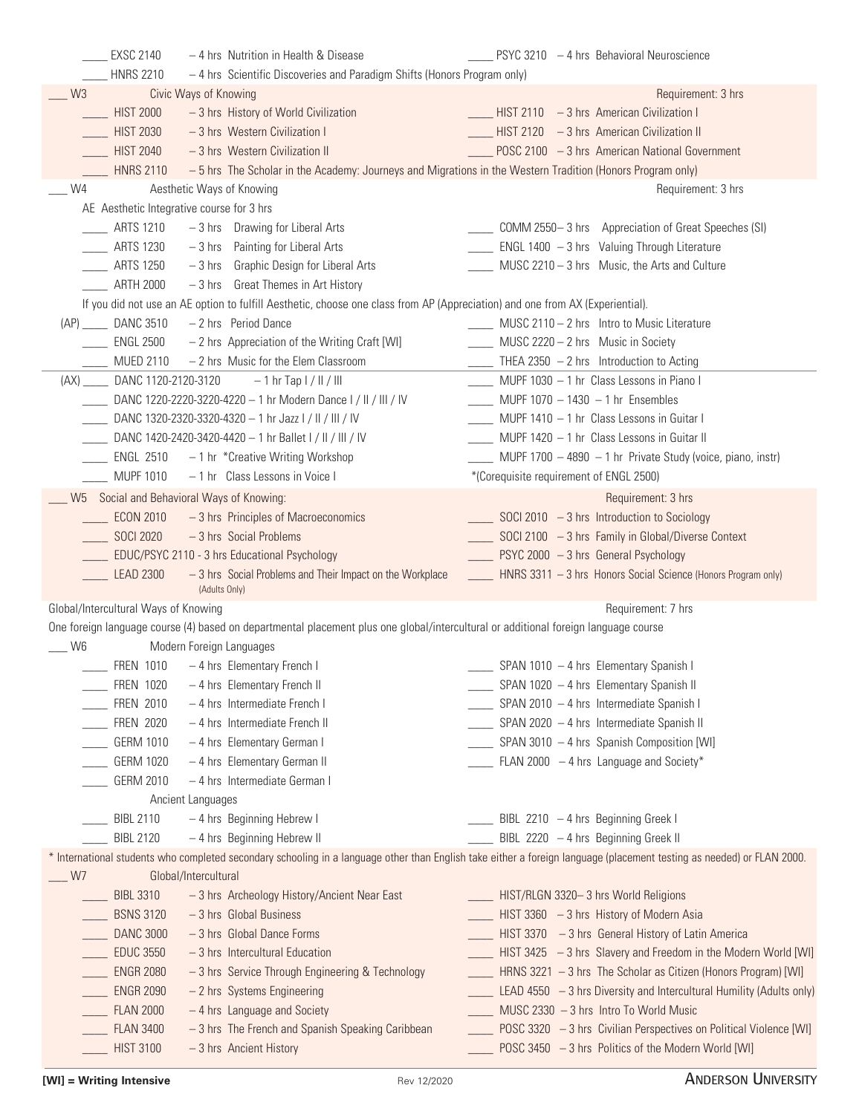| <b>EXSC 2140</b>                          | - 4 hrs Nutrition in Health & Disease                                                                                               | PSYC 3210 - 4 hrs Behavioral Neuroscience                                                                                                                              |
|-------------------------------------------|-------------------------------------------------------------------------------------------------------------------------------------|------------------------------------------------------------------------------------------------------------------------------------------------------------------------|
| <b>HNRS 2210</b>                          | - 4 hrs Scientific Discoveries and Paradigm Shifts (Honors Program only)                                                            |                                                                                                                                                                        |
| W <sub>3</sub>                            | Civic Ways of Knowing                                                                                                               | Requirement: 3 hrs                                                                                                                                                     |
| <b>HIST 2000</b>                          | -3 hrs History of World Civilization                                                                                                | ___ HIST 2110 - 3 hrs American Civilization I                                                                                                                          |
| <b>HIST 2030</b>                          | - 3 hrs Western Civilization I                                                                                                      | $HIST 2120 - 3 hrs$ American Civilization II                                                                                                                           |
| <b>HIST 2040</b>                          | - 3 hrs Western Civilization II                                                                                                     | POSC 2100 - 3 hrs American National Government                                                                                                                         |
| <b>HNRS 2110</b>                          | - 5 hrs The Scholar in the Academy: Journeys and Migrations in the Western Tradition (Honors Program only)                          |                                                                                                                                                                        |
| W4                                        | Aesthetic Ways of Knowing                                                                                                           | Requirement: 3 hrs                                                                                                                                                     |
| AE Aesthetic Integrative course for 3 hrs |                                                                                                                                     |                                                                                                                                                                        |
| <b>ARTS 1210</b>                          | $-3$ hrs Drawing for Liberal Arts                                                                                                   | COMM 2550-3 hrs Appreciation of Great Speeches (SI)                                                                                                                    |
| <b>ARTS 1230</b>                          | $-3$ hrs Painting for Liberal Arts                                                                                                  | ENGL $1400 - 3$ hrs Valuing Through Literature                                                                                                                         |
| <b>ARTS 1250</b>                          | -3 hrs Graphic Design for Liberal Arts                                                                                              | MUSC 2210 - 3 hrs Music, the Arts and Culture                                                                                                                          |
| <b>ARTH 2000</b>                          | -3 hrs Great Themes in Art History                                                                                                  |                                                                                                                                                                        |
|                                           | If you did not use an AE option to fulfill Aesthetic, choose one class from AP (Appreciation) and one from AX (Experiential).       |                                                                                                                                                                        |
| (AP) _____ DANC 3510                      | - 2 hrs Period Dance                                                                                                                | ____ MUSC 2110 - 2 hrs Intro to Music Literature                                                                                                                       |
| <b>ENGL 2500</b>                          | - 2 hrs Appreciation of the Writing Craft [WI]                                                                                      | MUSC 2220 - 2 hrs Music in Society                                                                                                                                     |
| <b>MUED 2110</b>                          | - 2 hrs Music for the Elem Classroom                                                                                                | $THEA 2350 - 2 hrs$ Introduction to Acting                                                                                                                             |
|                                           |                                                                                                                                     | ____ MUPF 1030 - 1 hr Class Lessons in Piano I                                                                                                                         |
| DANC 1120-2120-3120<br>(AX)               | $-1$ hr Tap $1/$ II / III                                                                                                           |                                                                                                                                                                        |
|                                           | DANC 1220-2220-3220-4220 - 1 hr Modern Dance I / II / III / IV                                                                      | $MUPF 1070 - 1430 - 1$ hr Ensembles                                                                                                                                    |
|                                           | DANC 1320-2320-3320-4320 - 1 hr Jazz I / II / III / IV                                                                              | ____ MUPF 1410 - 1 hr Class Lessons in Guitar I                                                                                                                        |
|                                           | DANC 1420-2420-3420-4420 - 1 hr Ballet I / II / III / IV                                                                            | $MUPF 1420 - 1 hr Class$ Lessons in Guitar II                                                                                                                          |
|                                           | ENGL 2510 $-1$ hr *Creative Writing Workshop                                                                                        | MUPF 1700 $-4890 - 1$ hr Private Study (voice, piano, instr)                                                                                                           |
| <b>MUPF 1010</b>                          | -1 hr Class Lessons in Voice I                                                                                                      | *(Corequisite requirement of ENGL 2500)                                                                                                                                |
|                                           | W5 Social and Behavioral Ways of Knowing:                                                                                           | Requirement: 3 hrs                                                                                                                                                     |
|                                           | ECON 2010 - 3 hrs Principles of Macroeconomics                                                                                      | $\frac{1}{2}$ SOCI 2010 - 3 hrs Introduction to Sociology                                                                                                              |
| SOCI 2020                                 | -3 hrs Social Problems                                                                                                              | SOCI 2100 $-3$ hrs Family in Global/Diverse Context                                                                                                                    |
|                                           | EDUC/PSYC 2110 - 3 hrs Educational Psychology                                                                                       | PSYC 2000 - 3 hrs General Psychology                                                                                                                                   |
| <b>LEAD 2300</b>                          | - 3 hrs Social Problems and Their Impact on the Workplace<br>(Adults Only)                                                          | ____ HNRS 3311 - 3 hrs Honors Social Science (Honors Program only)                                                                                                     |
| Global/Intercultural Ways of Knowing      |                                                                                                                                     | Requirement: 7 hrs                                                                                                                                                     |
|                                           | One foreign language course (4) based on departmental placement plus one global/intercultural or additional foreign language course |                                                                                                                                                                        |
| W6                                        | Modern Foreign Languages                                                                                                            |                                                                                                                                                                        |
| <b>FREN 1010</b>                          | - 4 hrs Elementary French I                                                                                                         | SPAN 1010 - 4 hrs Elementary Spanish I                                                                                                                                 |
| <b>FREN 1020</b>                          | - 4 hrs Elementary French II                                                                                                        | SPAN 1020 - 4 hrs Elementary Spanish II                                                                                                                                |
| <b>FREN 2010</b>                          | - 4 hrs Intermediate French I                                                                                                       | SPAN 2010 - 4 hrs Intermediate Spanish I                                                                                                                               |
| <b>FREN 2020</b>                          | - 4 hrs Intermediate French II                                                                                                      | SPAN 2020 - 4 hrs Intermediate Spanish II                                                                                                                              |
| GERM 1010                                 | - 4 hrs Elementary German I                                                                                                         | SPAN 3010 - 4 hrs Spanish Composition [WI]                                                                                                                             |
| <b>GERM 1020</b>                          | - 4 hrs Elementary German II                                                                                                        | FLAN 2000 $-4$ hrs Language and Society*                                                                                                                               |
| <b>GERM 2010</b>                          | - 4 hrs Intermediate German I                                                                                                       |                                                                                                                                                                        |
|                                           | Ancient Languages                                                                                                                   |                                                                                                                                                                        |
| <b>BIBL 2110</b>                          | - 4 hrs Beginning Hebrew I                                                                                                          | BIBL 2210 $-4$ hrs Beginning Greek I                                                                                                                                   |
|                                           |                                                                                                                                     |                                                                                                                                                                        |
| <b>BIBL 2120</b>                          | - 4 hrs Beginning Hebrew II                                                                                                         | BIBL 2220 - 4 hrs Beginning Greek II                                                                                                                                   |
|                                           |                                                                                                                                     | * International students who completed secondary schooling in a language other than English take either a foreign language (placement testing as needed) or FLAN 2000. |
| W7                                        | Global/Intercultural                                                                                                                |                                                                                                                                                                        |
| <b>BIBL 3310</b>                          | -3 hrs Archeology History/Ancient Near East                                                                                         | ____ HIST/RLGN 3320-3 hrs World Religions                                                                                                                              |
| <b>BSNS 3120</b>                          | $-3$ hrs Global Business                                                                                                            | HIST 3360 $-3$ hrs History of Modern Asia                                                                                                                              |
| <b>DANC 3000</b>                          | $-3$ hrs Global Dance Forms                                                                                                         | HIST 3370 - 3 hrs General History of Latin America                                                                                                                     |
| <b>EDUC 3550</b>                          | - 3 hrs Intercultural Education                                                                                                     | HIST 3425 - 3 hrs Slavery and Freedom in the Modern World [WI]                                                                                                         |
| <b>ENGR 2080</b>                          | -3 hrs Service Through Engineering & Technology                                                                                     | HRNS 3221 - 3 hrs The Scholar as Citizen (Honors Program) [WI]                                                                                                         |
| <b>ENGR 2090</b>                          | - 2 hrs Systems Engineering                                                                                                         | LEAD 4550 - 3 hrs Diversity and Intercultural Humility (Adults only)                                                                                                   |
| <b>FLAN 2000</b>                          | - 4 hrs Language and Society                                                                                                        | MUSC 2330 - 3 hrs Intro To World Music                                                                                                                                 |
| <b>FLAN 3400</b>                          | -3 hrs The French and Spanish Speaking Caribbean                                                                                    | POSC 3320 - 3 hrs Civilian Perspectives on Political Violence [WI]                                                                                                     |
| <b>HIST 3100</b>                          | - 3 hrs Ancient History                                                                                                             | POSC 3450 - 3 hrs Politics of the Modern World [WI]                                                                                                                    |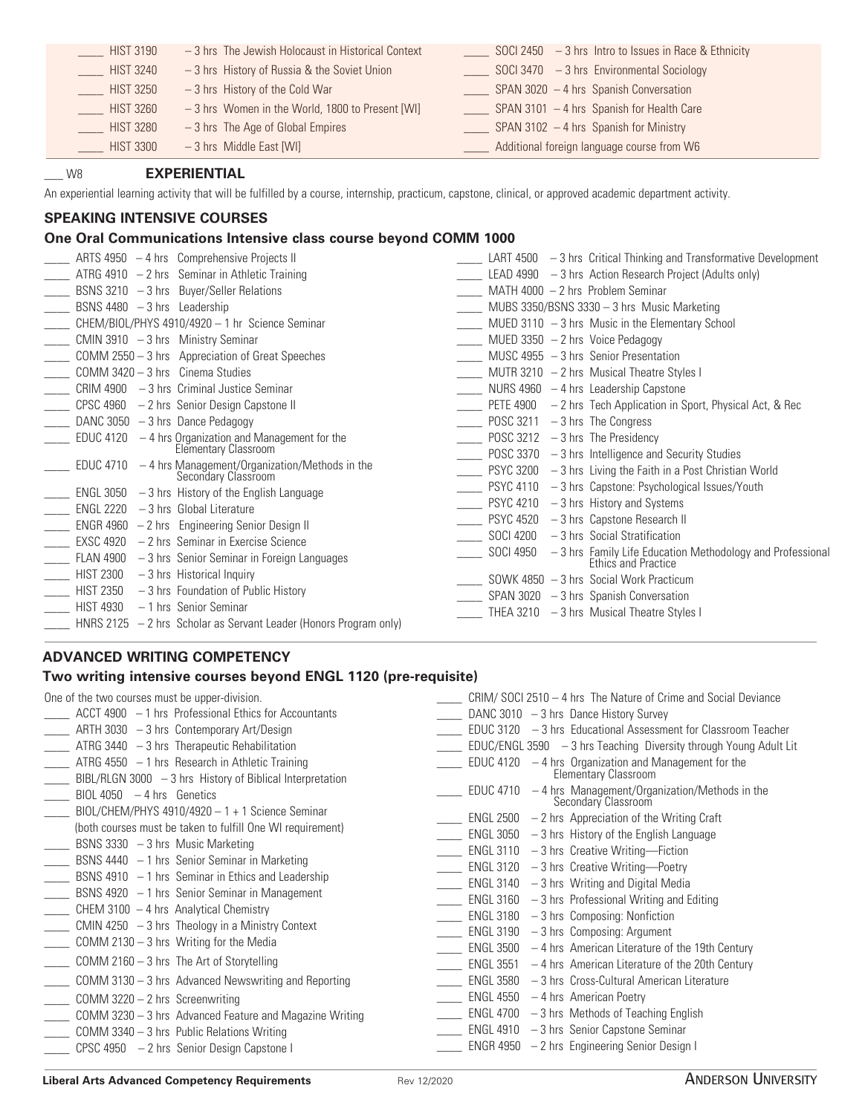| <b>HIST 3190</b> | -3 hrs The Jewish Holocaust in Historical Context | SOCI 2450 $-3$ hrs Intro to Issues in Race & Ethnicity |
|------------------|---------------------------------------------------|--------------------------------------------------------|
| <b>HIST 3240</b> | $-3$ hrs History of Russia & the Soviet Union     | SOCI 3470 $-3$ hrs Environmental Sociology             |
| <b>HIST 3250</b> | $-3$ hrs History of the Cold War                  | $SPAN 3020 - 4$ hrs Spanish Conversation               |
| <b>HIST 3260</b> | -3 hrs Women in the World, 1800 to Present [WI]   | SPAN 3101 $-4$ hrs Spanish for Health Care             |
| <b>HIST 3280</b> | $-3$ hrs The Age of Global Empires                | SPAN 3102 $-4$ hrs Spanish for Ministry                |
| <b>HIST 3300</b> | $-3$ hrs Middle East [WI]                         | Additional foreign language course from W6             |

### \_\_\_ W8 **EXPERIENTIAL**

An experiential learning activity that will be fulfilled by a course, internship, practicum, capstone, clinical, or approved academic department activity.

## **SPEAKING INTENSIVE COURSES**

## **One Oral Communications Intensive class course beyond COMM 1000**

|                               | ARTS 4950 $-4$ hrs Comprehensive Projects II                                     |           | LART $4500 - 3$ hrs Critical Thinking and Transformative Development             |
|-------------------------------|----------------------------------------------------------------------------------|-----------|----------------------------------------------------------------------------------|
|                               | ATRG 4910 $-2$ hrs Seminar in Athletic Training                                  |           | LEAD 4990 $-3$ hrs Action Research Project (Adults only)                         |
|                               | BSNS 3210 $-3$ hrs Buyer/Seller Relations                                        |           | MATH 4000 $-2$ hrs Problem Seminar                                               |
| BSNS 4480 $-3$ hrs Leadership |                                                                                  |           | MUBS 3350/BSNS 3330 $-$ 3 hrs Music Marketing                                    |
|                               | CHEM/BIOL/PHYS 4910/4920 - 1 hr Science Seminar                                  |           | MUED $3110 - 3$ hrs Music in the Elementary School                               |
|                               | CMIN 3910 - 3 hrs Ministry Seminar                                               |           | MUED 3350 $-2$ hrs Voice Pedagogy                                                |
|                               | COMM 2550 - 3 hrs Appreciation of Great Speeches                                 |           | MUSC 4955 $-3$ hrs Senior Presentation                                           |
|                               | COMM $3420 - 3$ hrs Cinema Studies                                               |           | MUTR 3210 $-2$ hrs Musical Theatre Styles I                                      |
|                               | $CRIM 4900 - 3 hrs$ Criminal Justice Seminar                                     |           | NURS 4960 $-4$ hrs Leadership Capstone                                           |
|                               | $CPSC 4960 - 2$ hrs Senior Design Capstone II                                    |           | PETE 4900 $-2$ hrs Tech Application in Sport, Physical Act, & Rec                |
|                               | DANC 3050 $-3$ hrs Dance Pedagogy                                                | POSC 3211 | $-3$ hrs The Congress                                                            |
|                               | EDUC 4120 - 4 hrs Organization and Management for the<br>Elementary Classroom    |           | POSC $3212 - 3$ hrs The Presidency                                               |
|                               |                                                                                  |           | POSC $3370 - 3$ hrs Intelligence and Security Studies                            |
|                               | EDUC 4710 $-4$ hrs Management/Organization/Methods in the<br>Secondary Classroom |           | PSYC 3200 $-3$ hrs Living the Faith in a Post Christian World                    |
|                               | $ENGL$ 3050 $-3$ hrs History of the English Language                             |           | $PSYC$ 4110 $-3$ hrs Capstone: Psychological Issues/Youth                        |
| <b>ENGL 2220</b>              | $-3$ hrs Global Literature                                                       |           | PSYC 4210 $-3$ hrs History and Systems                                           |
|                               | $ENGR 4960 - 2 hrs$ Engineering Senior Design II                                 | PSYC 4520 | -3 hrs Capstone Research II                                                      |
| <b>EXSC 4920</b>              | $-2$ hrs Seminar in Exercise Science                                             | SOCI 4200 | $-3$ hrs Social Stratification                                                   |
| <b>FLAN 4900</b>              | $-3$ hrs Senior Seminar in Foreign Languages                                     | SOCI 4950 | -3 hrs Family Life Education Methodology and Professional<br>Ethics and Practice |
| <b>HIST 2300</b>              | $-3$ hrs Historical Inquiry                                                      |           | SOWK 4850 - 3 hrs Social Work Practicum                                          |
| <b>HIST 2350</b>              | -3 hrs Foundation of Public History                                              |           | SPAN 3020 $-3$ hrs Spanish Conversation                                          |
| <b>HIST 4930</b>              | - 1 hrs Senior Seminar                                                           |           | THEA 3210 - 3 hrs Musical Theatre Styles I                                       |
|                               | HNRS 2125 $-2$ hrs Scholar as Servant Leader (Honors Program only)               |           |                                                                                  |
|                               |                                                                                  |           |                                                                                  |

#### **ADVANCED WRITING COMPETENCY**

#### **Two writing intensive courses beyond ENGL 1120 (pre-requisite)**

| One of the two courses must be upper-division.                                                                             | $CRIM/ SOCI 2510 - 4 hrs$ The Nature of Crime and Social Deviance                |
|----------------------------------------------------------------------------------------------------------------------------|----------------------------------------------------------------------------------|
| ACCT 4900 - 1 hrs Professional Ethics for Accountants                                                                      | DANC 3010 $-3$ hrs Dance History Survey                                          |
| ARTH 3030 $-3$ hrs Contemporary Art/Design                                                                                 | EDUC 3120 $-3$ hrs Educational Assessment for Classroom Teacher                  |
| ATRG 3440 $-3$ hrs Therapeutic Rehabilitation                                                                              | EDUC/ENGL 3590 $-3$ hrs Teaching Diversity through Young Adult Lit               |
| ATRG 4550 $-1$ hrs Research in Athletic Training                                                                           | EDUC 4120 $-4$ hrs Organization and Management for the<br>Elementary Classroom   |
| $\Box$ BIBL/RLGN 3000 $-3$ hrs History of Biblical Interpretation<br>$BIOL 4050 - 4 hrs$ Genetics                          | EDUC 4710 $-4$ hrs Management/Organization/Methods in the<br>Secondary Classroom |
| $\_\_\_\_\$ BIOL/CHEM/PHYS 4910/4920 - 1 + 1 Science Seminar<br>(both courses must be taken to fulfill One WI requirement) | ENGL 2500 $-2$ hrs Appreciation of the Writing Craft                             |
| $\frac{1}{2}$ BSNS 3330 $-3$ hrs Music Marketing                                                                           | ENGL 3050 $-3$ hrs History of the English Language                               |
|                                                                                                                            | ENGL 3110 $-3$ hrs Creative Writing-Fiction                                      |
| BSNS 4440 $-1$ hrs Senior Seminar in Marketing                                                                             | ENGL 3120 $-3$ hrs Creative Writing-Poetry                                       |
| <b>EXALGO</b> SSNS 4910 - 1 hrs Seminar in Ethics and Leadership                                                           | ENGL 3140 $-3$ hrs Writing and Digital Media                                     |
| ____ BSNS 4920 - 1 hrs Senior Seminar in Management                                                                        | $ENGL 3160 - 3$ hrs Professional Writing and Editing                             |
| $\Box$ CHEM 3100 $-$ 4 hrs Analytical Chemistry                                                                            | ENGL 3180 $-3$ hrs Composing: Nonfiction                                         |
| $\Box$ CMIN 4250 $-3$ hrs Theology in a Ministry Context                                                                   | ENGL 3190 $-3$ hrs Composing: Argument                                           |
| $\frac{1}{2}$ COMM 2130 – 3 hrs Writing for the Media                                                                      | ENGL 3500 $-4$ hrs American Literature of the 19th Century                       |
| ___ COMM 2160 – 3 hrs The Art of Storytelling                                                                              | ENGL 3551 $-4$ hrs American Literature of the 20th Century                       |
| COMM 3130 – 3 hrs Advanced Newswriting and Reporting                                                                       | -3 hrs Cross-Cultural American Literature<br>ENGL 3580                           |
| $\frac{1}{2}$ COMM 3220 – 2 hrs Screenwriting                                                                              | $ENGL 4550 - 4 hrs$ American Poetry                                              |
| ______ COMM 3230 - 3 hrs Advanced Feature and Magazine Writing                                                             | $ENGL$ 4700 $-3$ hrs Methods of Teaching English                                 |
| _____ COMM 3340 - 3 hrs Public Relations Writing                                                                           | ENGL 4910 $-3$ hrs Senior Capstone Seminar                                       |
| _____ CPSC 4950 - 2 hrs Senior Design Capstone I                                                                           | ENGR 4950 $-2$ hrs Engineering Senior Design I                                   |
|                                                                                                                            |                                                                                  |